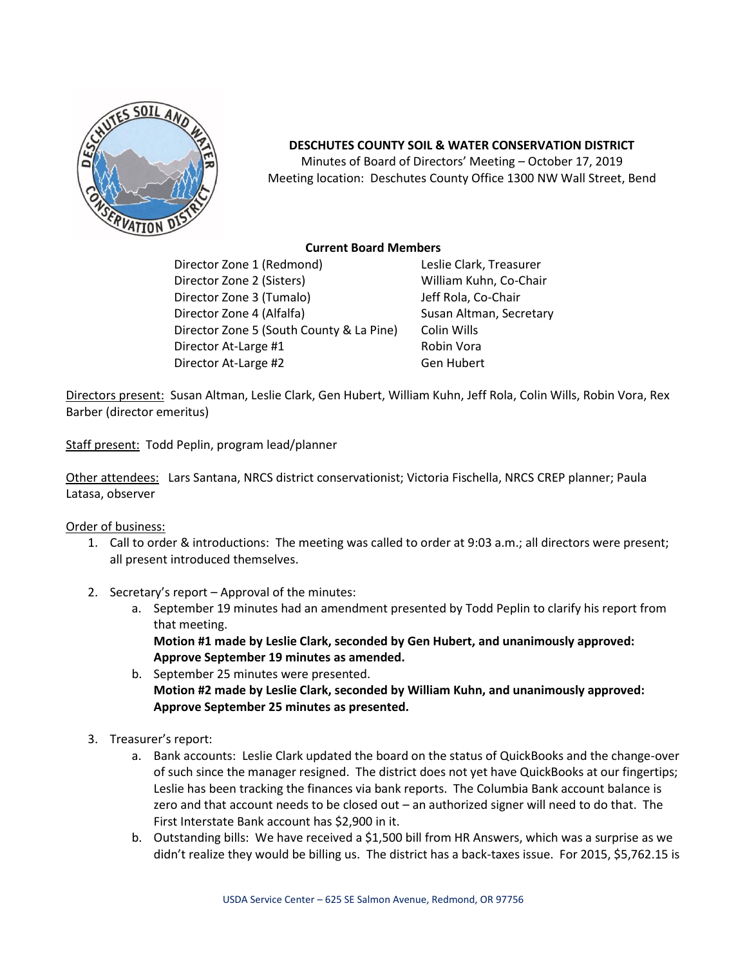

## **DESCHUTES COUNTY SOIL & WATER CONSERVATION DISTRICT**

Minutes of Board of Directors' Meeting – October 17, 2019 Meeting location: Deschutes County Office 1300 NW Wall Street, Bend

## **Current Board Members**

Director Zone 1 (Redmond) Leslie Clark, Treasurer Director Zone 2 (Sisters) William Kuhn, Co-Chair Director Zone 3 (Tumalo) Jeff Rola, Co-Chair Director Zone 4 (Alfalfa) Susan Altman, Secretary Director Zone 5 (South County & La Pine) Colin Wills Director At-Large #1 Robin Vora Director At-Large #2 Gen Hubert

Directors present: Susan Altman, Leslie Clark, Gen Hubert, William Kuhn, Jeff Rola, Colin Wills, Robin Vora, Rex Barber (director emeritus)

Staff present: Todd Peplin, program lead/planner

Other attendees: Lars Santana, NRCS district conservationist; Victoria Fischella, NRCS CREP planner; Paula Latasa, observer

## Order of business:

- 1. Call to order & introductions: The meeting was called to order at 9:03 a.m.; all directors were present; all present introduced themselves.
- 2. Secretary's report Approval of the minutes:
	- a. September 19 minutes had an amendment presented by Todd Peplin to clarify his report from that meeting.

**Motion #1 made by Leslie Clark, seconded by Gen Hubert, and unanimously approved: Approve September 19 minutes as amended.**

- b. September 25 minutes were presented. **Motion #2 made by Leslie Clark, seconded by William Kuhn, and unanimously approved: Approve September 25 minutes as presented.**
- 3. Treasurer's report:
	- a. Bank accounts: Leslie Clark updated the board on the status of QuickBooks and the change-over of such since the manager resigned. The district does not yet have QuickBooks at our fingertips; Leslie has been tracking the finances via bank reports. The Columbia Bank account balance is zero and that account needs to be closed out – an authorized signer will need to do that. The First Interstate Bank account has \$2,900 in it.
	- b. Outstanding bills: We have received a \$1,500 bill from HR Answers, which was a surprise as we didn't realize they would be billing us. The district has a back-taxes issue. For 2015, \$5,762.15 is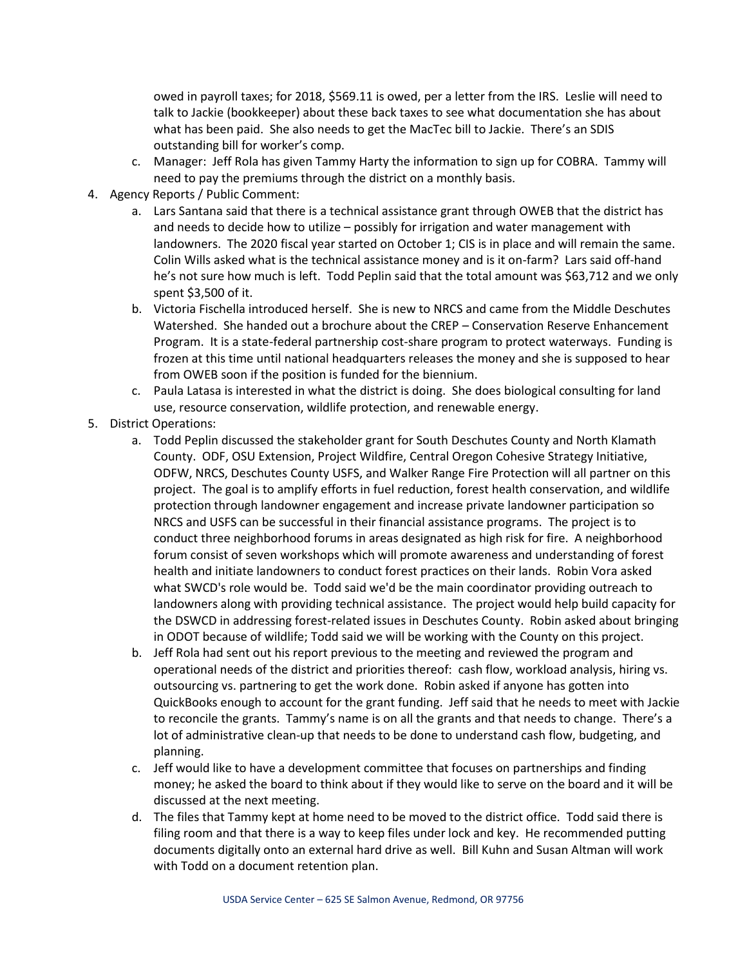owed in payroll taxes; for 2018, \$569.11 is owed, per a letter from the IRS. Leslie will need to talk to Jackie (bookkeeper) about these back taxes to see what documentation she has about what has been paid. She also needs to get the MacTec bill to Jackie. There's an SDIS outstanding bill for worker's comp.

- c. Manager: Jeff Rola has given Tammy Harty the information to sign up for COBRA. Tammy will need to pay the premiums through the district on a monthly basis.
- 4. Agency Reports / Public Comment:
	- a. Lars Santana said that there is a technical assistance grant through OWEB that the district has and needs to decide how to utilize – possibly for irrigation and water management with landowners. The 2020 fiscal year started on October 1; CIS is in place and will remain the same. Colin Wills asked what is the technical assistance money and is it on-farm? Lars said off-hand he's not sure how much is left. Todd Peplin said that the total amount was \$63,712 and we only spent \$3,500 of it.
	- b. Victoria Fischella introduced herself. She is new to NRCS and came from the Middle Deschutes Watershed. She handed out a brochure about the CREP – Conservation Reserve Enhancement Program. It is a state-federal partnership cost-share program to protect waterways. Funding is frozen at this time until national headquarters releases the money and she is supposed to hear from OWEB soon if the position is funded for the biennium.
	- c. Paula Latasa is interested in what the district is doing. She does biological consulting for land use, resource conservation, wildlife protection, and renewable energy.
- 5. District Operations:
	- a. Todd Peplin discussed the stakeholder grant for South Deschutes County and North Klamath County. ODF, OSU Extension, Project Wildfire, Central Oregon Cohesive Strategy Initiative, ODFW, NRCS, Deschutes County USFS, and Walker Range Fire Protection will all partner on this project. The goal is to amplify efforts in fuel reduction, forest health conservation, and wildlife protection through landowner engagement and increase private landowner participation so NRCS and USFS can be successful in their financial assistance programs. The project is to conduct three neighborhood forums in areas designated as high risk for fire. A neighborhood forum consist of seven workshops which will promote awareness and understanding of forest health and initiate landowners to conduct forest practices on their lands. Robin Vora asked what SWCD's role would be. Todd said we'd be the main coordinator providing outreach to landowners along with providing technical assistance. The project would help build capacity for the DSWCD in addressing forest-related issues in Deschutes County. Robin asked about bringing in ODOT because of wildlife; Todd said we will be working with the County on this project.
	- b. Jeff Rola had sent out his report previous to the meeting and reviewed the program and operational needs of the district and priorities thereof: cash flow, workload analysis, hiring vs. outsourcing vs. partnering to get the work done. Robin asked if anyone has gotten into QuickBooks enough to account for the grant funding. Jeff said that he needs to meet with Jackie to reconcile the grants. Tammy's name is on all the grants and that needs to change. There's a lot of administrative clean-up that needs to be done to understand cash flow, budgeting, and planning.
	- c. Jeff would like to have a development committee that focuses on partnerships and finding money; he asked the board to think about if they would like to serve on the board and it will be discussed at the next meeting.
	- d. The files that Tammy kept at home need to be moved to the district office. Todd said there is filing room and that there is a way to keep files under lock and key. He recommended putting documents digitally onto an external hard drive as well. Bill Kuhn and Susan Altman will work with Todd on a document retention plan.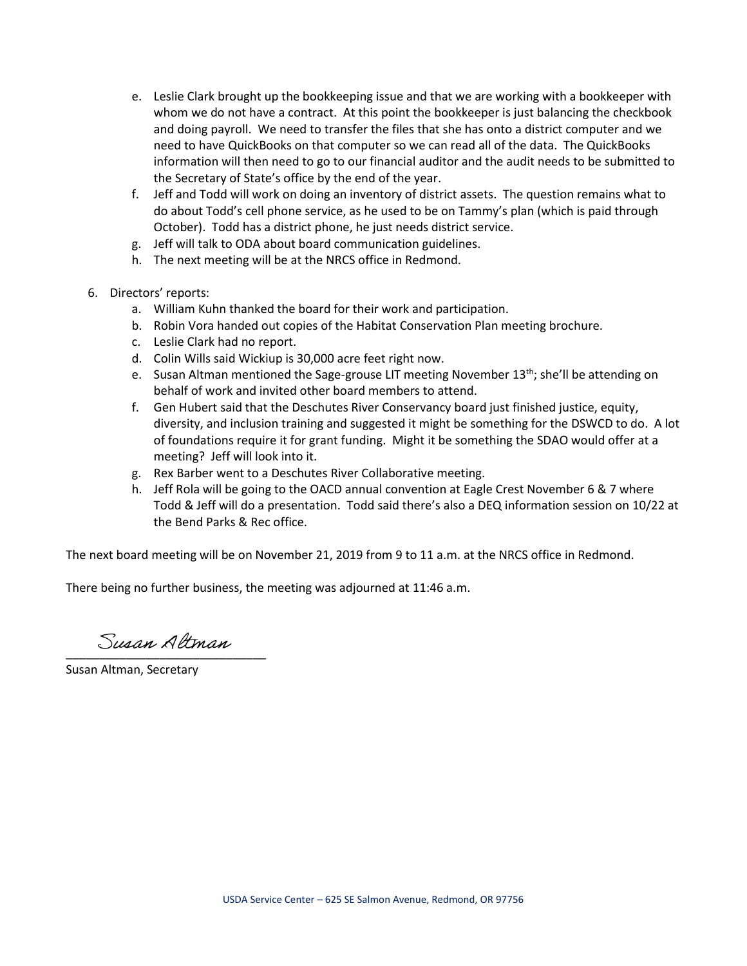- e. Leslie Clark brought up the bookkeeping issue and that we are working with a bookkeeper with whom we do not have a contract. At this point the bookkeeper is just balancing the checkbook and doing payroll. We need to transfer the files that she has onto a district computer and we need to have QuickBooks on that computer so we can read all of the data. The QuickBooks information will then need to go to our financial auditor and the audit needs to be submitted to the Secretary of State's office by the end of the year.
- f. Jeff and Todd will work on doing an inventory of district assets. The question remains what to do about Todd's cell phone service, as he used to be on Tammy's plan (which is paid through October). Todd has a district phone, he just needs district service.
- g. Jeff will talk to ODA about board communication guidelines.
- h. The next meeting will be at the NRCS office in Redmond.
- 6. Directors' reports:
	- a. William Kuhn thanked the board for their work and participation.
	- b. Robin Vora handed out copies of the Habitat Conservation Plan meeting brochure.
	- c. Leslie Clark had no report.
	- d. Colin Wills said Wickiup is 30,000 acre feet right now.
	- e. Susan Altman mentioned the Sage-grouse LIT meeting November 13<sup>th</sup>; she'll be attending on behalf of work and invited other board members to attend.
	- f. Gen Hubert said that the Deschutes River Conservancy board just finished justice, equity, diversity, and inclusion training and suggested it might be something for the DSWCD to do. A lot of foundations require it for grant funding. Might it be something the SDAO would offer at a meeting? Jeff will look into it.
	- g. Rex Barber went to a Deschutes River Collaborative meeting.
	- h. Jeff Rola will be going to the OACD annual convention at Eagle Crest November 6 & 7 where Todd & Jeff will do a presentation. Todd said there's also a DEQ information session on 10/22 at the Bend Parks & Rec office.

The next board meeting will be on November 21, 2019 from 9 to 11 a.m. at the NRCS office in Redmond.

There being no further business, the meeting was adjourned at 11:46 a.m.

\_\_\_\_\_\_\_\_\_\_\_\_\_\_\_\_\_\_\_\_\_\_\_\_\_\_\_\_\_\_

Susan Altman, Secretary